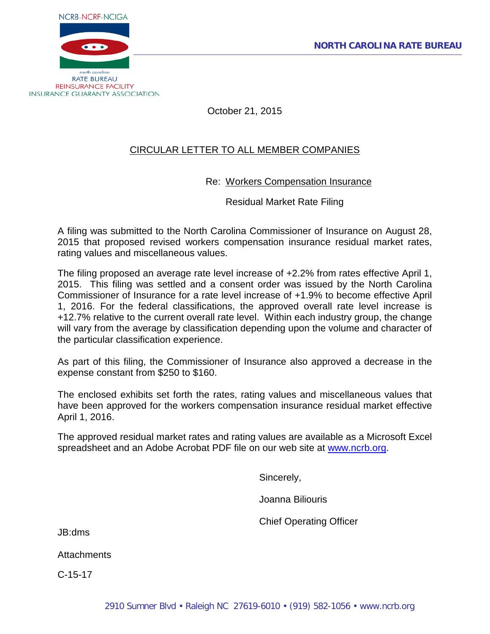

October 21, 2015

## CIRCULAR LETTER TO ALL MEMBER COMPANIES

Re: Workers Compensation Insurance

Residual Market Rate Filing

A filing was submitted to the North Carolina Commissioner of Insurance on August 28, 2015 that proposed revised workers compensation insurance residual market rates, rating values and miscellaneous values.

The filing proposed an average rate level increase of +2.2% from rates effective April 1, 2015. This filing was settled and a consent order was issued by the North Carolina Commissioner of Insurance for a rate level increase of +1.9% to become effective April 1, 2016. For the federal classifications, the approved overall rate level increase is +12.7% relative to the current overall rate level. Within each industry group, the change will vary from the average by classification depending upon the volume and character of the particular classification experience.

As part of this filing, the Commissioner of Insurance also approved a decrease in the expense constant from \$250 to \$160.

The enclosed exhibits set forth the rates, rating values and miscellaneous values that have been approved for the workers compensation insurance residual market effective April 1, 2016.

The approved residual market rates and rating values are available as a Microsoft Excel spreadsheet and an Adobe Acrobat PDF file on our web site at [www.ncrb.org.](http://www.ncrb.org/ncrb)

Sincerely,

Joanna Biliouris

Chief Operating Officer

JB:dms

**Attachments** 

C-15-17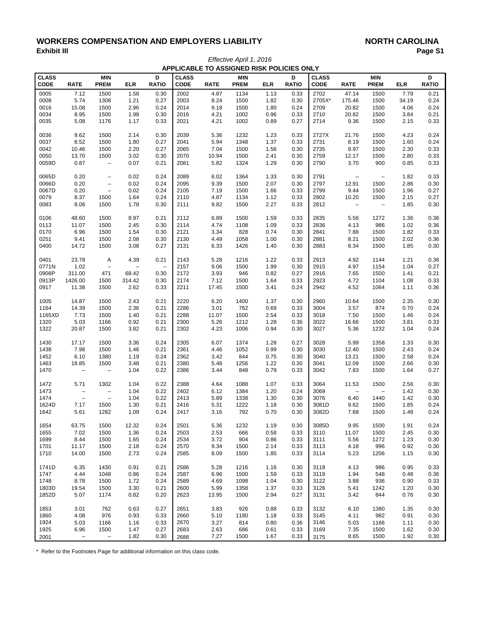#### WORKERS COMPENSATION AND EMPLOYERS LIABILITY **NORTH CAROLINA**<br>Exhibit III **Page S1 Exhibit III Page S1**

|              |                          |                                   |                   |                   |              | <b>APPLICABLE TO ASSIGNED RISK POLICIES ONLY</b> |             |            |              |                |                          |                          |               |              |
|--------------|--------------------------|-----------------------------------|-------------------|-------------------|--------------|--------------------------------------------------|-------------|------------|--------------|----------------|--------------------------|--------------------------|---------------|--------------|
| <b>CLASS</b> |                          | <b>MIN</b>                        |                   | D                 | <b>CLASS</b> |                                                  | <b>MIN</b>  |            | D            | <b>CLASS</b>   |                          | <b>MIN</b>               |               | D            |
| <b>CODE</b>  | <b>RATE</b>              | <b>PREM</b>                       | <b>ELR</b>        | <b>RATIO</b>      | <b>CODE</b>  | <b>RATE</b>                                      | <b>PREM</b> | <b>ELR</b> | <b>RATIO</b> | <b>CODE</b>    | <b>RATE</b>              | <b>PREM</b>              | <b>ELR</b>    | <b>RATIO</b> |
| 0005         | 7.12                     | 1500                              | 1.58              | 0.30              | 2002         | 4.87                                             | 1134        | 1.13       | 0.33         | 2702           | 47.14                    | 1500                     | 7.79          | 0.21         |
|              | 5.74                     |                                   |                   |                   | 2003         | 8.24                                             |             | 1.82       | 0.30         |                |                          | 1500                     |               |              |
| 0008         |                          | 1308                              | 1.21<br>2.96      | 0.27<br>0.24      | 2014         |                                                  | 1500        | 1.80       |              | 2705X*<br>2709 | 175.46<br>20.82          |                          | 34.19<br>4.06 | 0.24         |
| 0016         | 15.08                    | 1500                              |                   |                   |              | 9.18                                             | 1500        |            | 0.24         |                |                          | 1500                     |               | 0.24         |
| 0034         | 8.95                     | 1500                              | 1.98              | 0.30              | 2016         | 4.21                                             | 1002        | 0.96       | 0.33         | 2710           | 20.82                    | 1500                     | 3.84          | 0.21         |
| 0035         | 5.08                     | 1176                              | 1.17              | 0.33              | 2021         | 4.21                                             | 1002        | 0.89       | 0.27         | 2714           | 9.36                     | 1500                     | 2.15          | 0.33         |
| 0036         | 9.62                     | 1500                              | 2.14              | 0.30              | 2039         | 5.36                                             | 1232        | 1.23       | 0.33         | 2727X          | 21.76                    | 1500                     | 4.23          | 0.24         |
| 0037         | 8.52                     | 1500                              | 1.80              | 0.27              | 2041         | 5.94                                             | 1348        | 1.37       | 0.33         | 2731           | 8.19                     | 1500                     | 1.60          | 0.24         |
| 0042         | 10.46                    | 1500                              | 2.20              | 0.27              | 2065         | 7.04                                             | 1500        | 1.56       | 0.30         | 2735           | 9.97                     | 1500                     | 2.30          | 0.33         |
| 0050         | 13.70                    | 1500                              | 3.02              | 0.30              | 2070         | 10.94                                            | 1500        | 2.41       | 0.30         | 2759           | 12.17                    | 1500                     | 2.80          | 0.33         |
| 0059D        | 0.87                     | $\overline{\phantom{a}}$          | 0.07              | 0.21              | 2081         | 5.82                                             | 1324        | 1.29       | 0.30         | 2790           | 3.70                     | 900                      | 0.85          | 0.33         |
|              |                          |                                   |                   |                   |              |                                                  |             |            |              |                |                          |                          |               |              |
| 0065D        | 0.20                     | $\qquad \qquad -$                 | 0.02              | 0.24              | 2089         | 6.02                                             | 1364        | 1.33       | 0.30         | 2791           | $\overline{\phantom{m}}$ | $\qquad \qquad -$        | 1.82          | 0.33         |
| 0066D        | 0.20                     | $\qquad \qquad -$                 | 0.02              | 0.24              | 2095         | 9.39                                             | 1500        | 2.07       | 0.30         | 2797           | 12.91                    | 1500                     | 2.86          | 0.30         |
| 0067D        | 0.20                     | $\qquad \qquad -$                 | 0.02              | 0.24              | 2105         | 7.19                                             | 1500        | 1.66       | 0.33         | 2799           | 9.44                     | 1500                     | 1.96          | 0.27         |
| 0079         | 8.37                     | 1500                              | 1.64              | 0.24              | 2110         | 4.87                                             | 1134        | 1.12       | 0.33         | 2802           | 10.20                    | 1500                     | 2.15          | 0.27         |
| 0083         | 8.06                     | 1500                              | 1.78              | 0.30              | 2111         | 9.82                                             | 1500        | 2.27       | 0.33         | 2812           | $\overline{\phantom{m}}$ | $\overline{\phantom{a}}$ | 1.85          | 0.30         |
|              |                          |                                   |                   |                   |              |                                                  |             |            |              |                |                          |                          |               |              |
| 0106         | 48.60                    | 1500                              | 8.97              | 0.21              | 2112         | 6.89                                             | 1500        | 1.59       | 0.33         | 2835           | 5.56                     | 1272                     | 1.36          | 0.36         |
| 0113         | 11.07                    | 1500                              | 2.45              | 0.30              | 2114         | 4.74                                             | 1108        | 1.09       | 0.33         | 2836           | 4.13                     | 986                      | 1.02          | 0.36         |
| 0170         | 6.96                     | 1500                              | 1.54              | 0.30              | 2121         | 3.34                                             | 828         | 0.74       | 0.30         | 2841           | 7.88                     | 1500                     | 1.82          | 0.33         |
| 0251         | 9.41                     | 1500                              | 2.08              | 0.30              | 2130         | 4.49                                             | 1058        | 1.00       | 0.30         | 2881           | 8.21                     | 1500                     | 2.02          | 0.36         |
| 0400         | 14.72                    | 1500                              | 3.08              | 0.27              | 2131         | 6.33                                             | 1426        | 1.40       | 0.30         | 2883           | 8.34                     | 1500                     | 1.85          | 0.30         |
|              |                          |                                   |                   |                   |              |                                                  |             |            |              |                |                          |                          |               |              |
| 0401         | 23.78                    | Α                                 | 4.39              | 0.21              | 2143         | 5.28                                             | 1216        | 1.22       | 0.33         | 2913           | 4.92                     | 1144                     | 1.21          | 0.36         |
| 0771N        | 1.02                     | $\qquad \qquad -$                 | $\qquad \qquad -$ | $\qquad \qquad -$ | 2157         | 9.06                                             | 1500        | 1.99       | 0.30         | 2915           | 4.97                     | 1154                     | 1.04          | 0.27         |
| 0908P        | 311.00                   | 471                               | 68.42             | 0.30              | 2172         | 3.93                                             | 946         | 0.82       | 0.27         | 2916           | 7.65                     | 1500                     | 1.41          | 0.21         |
| 0913P        | 1426.00                  | 1500                              | 314.42            | 0.30              | 2174         | 7.12                                             | 1500        | 1.64       | 0.33         | 2923           | 4.72                     | 1104                     | 1.08          | 0.33         |
| 0917         | 11.38                    | 1500                              | 2.62              | 0.33              | 2211         | 17.45                                            | 1500        | 3.41       | 0.24         | 2942           | 4.52                     | 1064                     | 1.11          | 0.36         |
|              |                          |                                   |                   |                   |              |                                                  |             |            |              |                |                          |                          |               |              |
| 1005         | 14.87                    | 1500                              | 2.43              | 0.21              | 2220         | 6.20                                             | 1400        | 1.37       | 0.30         | 2960           | 10.64                    | 1500                     | 2.35          | 0.30         |
| 1164         | 14.39                    | 1500                              | 2.36              | 0.21              | 2286         | 3.01                                             | 762         | 0.69       | 0.33         | 3004           | 3.57                     | 874                      | 0.70          | 0.24         |
| 1165XD       | 7.73                     | 1500                              | 1.40              | 0.21              | 2288         | 11.07                                            | 1500        | 2.54       | 0.33         | 3018           | 7.50                     | 1500                     | 1.46          | 0.24         |
| 1320         | 5.03                     | 1166                              | 0.92              | 0.21              | 2300         | 5.26                                             | 1212        | 1.28       | 0.36         | 3022           | 16.66                    | 1500                     | 3.81          | 0.33         |
| 1322         | 20.87                    | 1500                              | 3.82              | 0.21              | 2302         | 4.23                                             | 1006        | 0.94       | 0.30         | 3027           | 5.36                     | 1232                     | 1.04          | 0.24         |
| 1430         | 17.17                    | 1500                              | 3.36              | 0.24              | 2305         | 6.07                                             | 1374        | 1.28       | 0.27         | 3028           | 5.99                     | 1358                     | 1.33          | 0.30         |
| 1438         | 7.98                     | 1500                              | 1.46              | 0.21              | 2361         | 4.46                                             | 1052        | 0.99       | 0.30         | 3030           | 12.40                    | 1500                     | 2.43          | 0.24         |
|              |                          |                                   |                   |                   | 2362         |                                                  |             |            |              |                |                          |                          |               |              |
| 1452         | 6.10                     | 1380                              | 1.19              | 0.24              |              | 3.42                                             | 844         | 0.75       | 0.30         | 3040           | 13.21                    | 1500                     | 2.58          | 0.24         |
| 1463         | 18.85                    | 1500                              | 3.48              | 0.21              | 2380         | 5.48                                             | 1256        | 1.22       | 0.30         | 3041           | 12.09                    | 1500                     | 2.66          | 0.30         |
| 1470         | $\overline{\phantom{0}}$ | $\overline{\phantom{a}}$          | 1.04              | 0.22              | 2386         | 3.44                                             | 848         | 0.79       | 0.33         | 3042           | 7.83                     | 1500                     | 1.64          | 0.27         |
| 1472         | 5.71                     | 1302                              | 1.04              | 0.22              | 2388         | 4.64                                             | 1088        | 1.07       | 0.33         | 3064           | 11.53                    | 1500                     | 2.56          | 0.30         |
| 1473         | $\qquad \qquad -$        | $\hspace{0.1in} - \hspace{0.1in}$ | 1.04              | 0.22              | 2402         | 6.12                                             | 1384        | 1.20       | 0.24         | 3069           | $\overline{\phantom{m}}$ | $\overline{\phantom{a}}$ | 1.42          | 0.30         |
| 1474         | $\overline{\phantom{m}}$ | $\overline{\phantom{a}}$          | 1.04              | 0.22              | 2413         | 5.89                                             | 1338        | 1.30       | 0.30         | 3076           | 6.40                     | 1440                     | 1.42          | 0.30         |
| 1624D        | 7.17                     | 1500                              | 1.30              | 0.21              | 2416         | 5.31                                             | 1222        | 1.18       | 0.30         | 3081D          | 9.62                     | 1500                     | 1.85          | 0.24         |
| 1642         | 5.61                     | 1282                              | 1.09              | 0.24              | 2417         | 3.16                                             | 792         | 0.70       | 0.30         | 3082D          | 7.68                     | 1500                     | 1.48          | 0.24         |
|              |                          |                                   |                   |                   |              |                                                  |             |            |              |                |                          |                          |               |              |
| 1654         | 63.75                    | 1500                              | 12.32             | 0.24              | 2501         | 5.36                                             | 1232        | 1.19       | 0.30         | 3085D          | 9.95                     | 1500                     | 1.91          | 0.24         |
| 1655         | 7.02                     | 1500                              | 1.36              | 0.24              | 2503         | 2.53                                             | 666         | 0.58       | 0.33         | 3110           | 11.07                    | 1500                     | 2.45          | 0.30         |
| 1699         | 8.44                     | 1500                              | 1.65              | 0.24              | 2534         | 3.72                                             | 904         | 0.86       | 0.33         | 3111           | 5.56                     | 1272                     | 1.23          | 0.30         |
| 1701         | 11.17                    | 1500                              | 2.18              | 0.24              | 2570         | 9.34                                             | 1500        | 2.14       | 0.33         | 3113           | 4.18                     | 996                      | 0.92          | 0.30         |
| 1710         | 14.00                    | 1500                              | 2.73              | 0.24              | 2585         | 8.09                                             | 1500        | 1.85       | 0.33         | 3114           | 5.23                     | 1206                     | 1.15          | 0.30         |
|              |                          |                                   |                   |                   |              |                                                  |             |            |              |                |                          |                          |               |              |
| 1741D        | 6.35                     | 1430                              | 0.91              | 0.21              | 2586         | 5.28                                             | 1216        | 1.16       | 0.30         | 3118           | 4.13                     | 986                      | 0.95          | 0.33         |
| 1747         | 4.44                     | 1048                              | 0.86              | 0.24              | 2587         | 6.96                                             | 1500        | 1.59       | 0.33         | 3119           | 1.94                     | 548                      | 0.48          | 0.36         |
| 1748         | 8.78                     | 1500                              | 1.72              | 0.24              | 2589         | 4.69                                             | 1098        | 1.04       | 0.30         | 3122           | 3.88                     | 936                      | 0.90          | 0.33         |
| 1803D        | 19.54                    | 1500                              | 3.30              | 0.21              | 2600         | 5.99                                             | 1358        | 1.37       | 0.33         | 3126           | 5.41                     | 1242                     | 1.20          | 0.30         |
| 1852D        | 5.07                     | 1174                              | 0.82              | 0.20              | 2623         | 13.95                                            | 1500        | 2.94       | 0.27         | 3131           | 3.42                     | 844                      | 0.76          | 0.30         |
|              |                          |                                   |                   |                   |              |                                                  |             |            |              |                |                          |                          |               |              |
| 1853         | 3.01                     | 762                               | 0.63              | 0.27              | 2651         | 3.83                                             | 926         | 0.88       | 0.33         | 3132           | 6.10                     | 1380                     | 1.35          | 0.30         |
| 1860         | 4.08                     | 976                               | 0.93              | 0.33              | 2660         | 5.10                                             | 1180        | 1.18       | 0.33         | 3145           | 4.11                     | 982                      | 0.91          | 0.30         |
| 1924         | 5.03                     | 1166                              | 1.16              | 0.33              | 2670         | 3.27                                             | 814         | 0.80       | 0.36         | 3146           | 5.03                     | 1166                     | 1.11          | 0.30         |
| 1925         | 6.96                     | 1500                              | 1.47              | 0.27              | 2683         | 2.63                                             | 686         | 0.61       | 0.33         | 3169           | 7.35                     | 1500                     | 1.62          | 0.30         |
| 2001         | $\overline{\phantom{a}}$ | $\overline{\phantom{a}}$          | 1.82              | 0.30              | 2688         | 7.27                                             | 1500        | 1.67       | 0.33         | 3175           | 8.65                     | 1500                     | 1.92          | 0.30         |

*Effective April 1, 2016*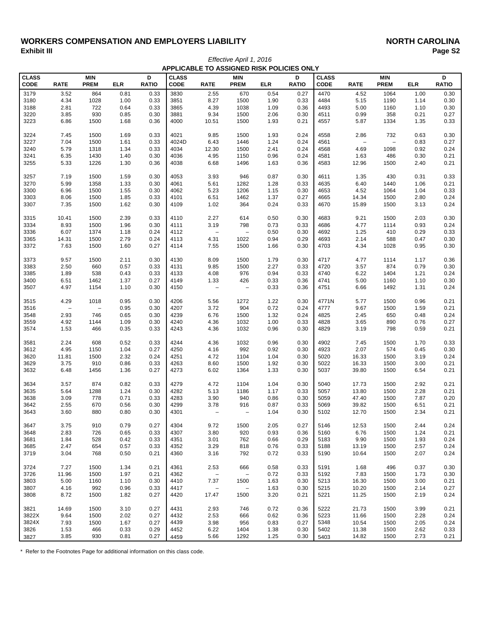#### WORKERS COMPENSATION AND EMPLOYERS LIABILITY<br>Exhibit III Page S2 **Exhibit III Page S2** *Effective April 1, 2016*

|                      |                          |                           |            |                   |                             | APPLICABLE TO ASSIGNED RISK POLICIES ONLY |                           |            |                   |                      |                   |                           |            |                   |
|----------------------|--------------------------|---------------------------|------------|-------------------|-----------------------------|-------------------------------------------|---------------------------|------------|-------------------|----------------------|-------------------|---------------------------|------------|-------------------|
| <b>CLASS</b><br>CODE | <b>RATE</b>              | <b>MIN</b><br><b>PREM</b> | <b>ELR</b> | D<br><b>RATIO</b> | <b>CLASS</b><br><b>CODE</b> | <b>RATE</b>                               | <b>MIN</b><br><b>PREM</b> | <b>ELR</b> | D<br><b>RATIO</b> | <b>CLASS</b><br>CODE | <b>RATE</b>       | <b>MIN</b><br><b>PREM</b> | <b>ELR</b> | D<br><b>RATIO</b> |
| 3179                 | 3.52                     | 864                       | 0.81       | 0.33              | 3830                        | 2.55                                      | 670                       | 0.54       | 0.27              | 4470                 | 4.52              | 1064                      | 1.00       | 0.30              |
| 3180                 | 4.34                     | 1028                      | 1.00       | 0.33              | 3851                        | 8.27                                      | 1500                      | 1.90       | 0.33              | 4484                 | 5.15              | 1190                      | 1.14       | 0.30              |
| 3188                 | 2.81                     | 722                       | 0.64       | 0.33              | 3865                        | 4.39                                      | 1038                      | 1.09       | 0.36              | 4493                 | 5.00              | 1160                      | 1.10       | 0.30              |
| 3220                 | 3.85                     | 930                       | 0.85       | 0.30              | 3881                        | 9.34                                      | 1500                      | 2.06       | 0.30              | 4511                 | 0.99              | 358                       | 0.21       | 0.27              |
| 3223                 | 6.86                     | 1500                      | 1.68       | 0.36              | 4000                        | 10.51                                     | 1500                      | 1.93       | 0.21              | 4557                 | 5.87              | 1334                      | 1.35       | 0.33              |
| 3224                 | 7.45                     | 1500                      | 1.69       | 0.33              | 4021                        | 9.85                                      | 1500                      | 1.93       | 0.24              | 4558                 | 2.86              | 732                       | 0.63       | 0.30              |
| 3227                 | 7.04                     | 1500                      | 1.61       | 0.33              | 4024D                       | 6.43                                      | 1446                      | 1.24       | 0.24              | 4561                 | $\qquad \qquad -$ | $\qquad \qquad -$         | 0.83       | 0.27              |
| 3240                 | 5.79                     | 1318                      | 1.34       | 0.33              | 4034                        | 12.30                                     | 1500                      | 2.41       | 0.24              | 4568                 | 4.69              | 1098                      | 0.92       | 0.24              |
| 3241                 | 6.35                     | 1430                      | 1.40       | 0.30              | 4036                        | 4.95                                      | 1150                      | 0.96       | 0.24              | 4581                 | 1.63              | 486                       | 0.30       | 0.21              |
| 3255                 | 5.33                     | 1226                      | 1.30       | 0.36              | 4038                        | 6.68                                      | 1496                      | 1.63       | 0.36              | 4583                 | 12.96             | 1500                      | 2.40       | 0.21              |
| 3257                 | 7.19                     | 1500                      | 1.59       | 0.30              | 4053                        | 3.93                                      | 946                       | 0.87       | 0.30              | 4611                 | 1.35              | 430                       | 0.31       | 0.33              |
| 3270                 | 5.99                     | 1358                      | 1.33       | 0.30              | 4061                        | 5.61                                      | 1282                      | 1.28       | 0.33              | 4635                 | 6.40              | 1440                      | 1.06       | 0.21              |
| 3300                 | 6.96                     | 1500                      | 1.55       | 0.30              | 4062                        | 5.23                                      | 1206                      | 1.15       | 0.30              | 4653                 | 4.52              | 1064                      | 1.04       | 0.33              |
| 3303                 | 8.06                     | 1500                      | 1.85       | 0.33              | 4101                        | 6.51                                      | 1462                      | 1.37       | 0.27              | 4665                 | 14.34             | 1500                      | 2.80       | 0.24              |
| 3307                 | 7.35                     | 1500                      | 1.62       | 0.30              | 4109                        | 1.02                                      | 364                       | 0.24       | 0.33              | 4670                 | 15.89             | 1500                      | 3.13       | 0.24              |
| 3315                 | 10.41                    | 1500                      | 2.39       | 0.33              | 4110                        | 2.27                                      | 614                       | 0.50       | 0.30              | 4683                 | 9.21              | 1500                      | 2.03       | 0.30              |
| 3334                 | 8.93                     | 1500                      | 1.96       | 0.30              | 4111                        | 3.19                                      | 798                       | 0.73       | 0.33              | 4686                 | 4.77              | 1114                      | 0.93       | 0.24              |
| 3336                 | 6.07                     | 1374                      | 1.18       | 0.24              | 4112                        | $\frac{1}{2}$                             | $\overline{\phantom{a}}$  | 0.50       | 0.30              | 4692                 | 1.25              | 410                       | 0.29       | 0.33              |
| 3365                 | 14.31                    | 1500                      | 2.79       | 0.24              | 4113                        | 4.31                                      | 1022                      | 0.94       | 0.29              | 4693                 | 2.14              | 588                       | 0.47       | 0.30              |
| 3372                 | 7.63                     | 1500                      | 1.60       | 0.27              | 4114                        | 7.55                                      | 1500                      | 1.66       | 0.30              | 4703                 | 4.34              | 1028                      | 0.95       | 0.30              |
| 3373                 | 9.57                     | 1500                      | 2.11       | 0.30              | 4130                        | 8.09                                      | 1500                      | 1.79       | 0.30              | 4717                 | 4.77              | 1114                      | 1.17       | 0.36              |
| 3383                 | 2.50                     | 660                       | 0.57       | 0.33              | 4131                        | 9.85                                      | 1500                      | 2.27       | 0.33              | 4720                 | 3.57              | 874                       | 0.79       | 0.30              |
| 3385                 | 1.89                     | 538                       | 0.43       | 0.33              | 4133                        | 4.08                                      | 976                       | 0.94       | 0.33              | 4740                 | 6.22              | 1404                      | 1.21       | 0.24              |
| 3400                 | 6.51                     | 1462                      | 1.37       | 0.27              | 4149                        | 1.33                                      | 426                       | 0.33       | 0.36              | 4741                 | 5.00              | 1160                      | 1.10       | 0.30              |
| 3507                 | 4.97                     | 1154                      | 1.10       | 0.30              | 4150                        | $\overline{\phantom{0}}$                  | $\overline{\phantom{0}}$  | 0.33       | 0.36              | 4751                 | 6.66              | 1492                      | 1.31       | 0.24              |
| 3515                 | 4.29                     | 1018                      | 0.95       | 0.30              | 4206                        | 5.56                                      | 1272                      | 1.22       | 0.30              | 4771N                | 5.77              | 1500                      | 0.96       | 0.21              |
| 3516                 | $\overline{\phantom{a}}$ | $\overline{\phantom{a}}$  | 0.95       | 0.30              | 4207                        | 3.72                                      | 904                       | 0.72       | 0.24              | 4777                 | 9.67              | 1500                      | 1.59       | 0.21              |
| 3548                 | 2.93                     | 746                       | 0.65       | 0.30              | 4239                        | 6.76                                      | 1500                      | 1.32       | 0.24              | 4825                 | 2.45              | 650                       | 0.48       | 0.24              |
| 3559                 | 4.92                     | 1144                      | 1.09       | 0.30              | 4240                        | 4.36                                      | 1032                      | 1.00       | 0.33              | 4828                 | 3.65              | 890                       | 0.76       | 0.27              |
| 3574                 | 1.53                     | 466                       | 0.35       | 0.33              | 4243                        | 4.36                                      | 1032                      | 0.96       | 0.30              | 4829                 | 3.19              | 798                       | 0.59       | 0.21              |
| 3581                 | 2.24                     | 608                       | 0.52       | 0.33              | 4244                        | 4.36                                      | 1032                      | 0.96       | 0.30              | 4902                 | 7.45              | 1500                      | 1.70       | 0.33              |
| 3612                 | 4.95                     | 1150                      | 1.04       | 0.27              | 4250                        | 4.16                                      | 992                       | 0.92       | 0.30              | 4923                 | 2.07              | 574                       | 0.45       | 0.30              |
| 3620                 | 11.81                    | 1500                      | 2.32       | 0.24              | 4251                        | 4.72                                      | 1104                      | 1.04       | 0.30              | 5020                 | 16.33             | 1500                      | 3.19       | 0.24              |
| 3629                 | 3.75                     | 910                       | 0.86       | 0.33              | 4263                        | 8.60                                      | 1500                      | 1.92       | 0.30              | 5022                 | 16.33             | 1500                      | 3.00       | 0.21              |
| 3632                 | 6.48                     | 1456                      | 1.36       | 0.27              | 4273                        | 6.02                                      | 1364                      | 1.33       | 0.30              | 5037                 | 39.80             | 1500                      | 6.54       | 0.21              |
| 3634                 | 3.57                     | 874                       | 0.82       | 0.33              | 4279                        | 4.72                                      | 1104                      | 1.04       | 0.30              | 5040                 | 17.73             | 1500                      | 2.92       | 0.21              |
| 3635                 | 5.64                     | 1288                      | 1.24       | 0.30              | 4282                        | 5.13                                      | 1186                      | 1.17       | 0.33              | 5057                 | 13.80             | 1500                      | 2.28       | 0.21              |
| 3638                 | 3.09                     | 778                       | 0.71       | 0.33              | 4283                        | 3.90                                      | 940                       | 0.86       | 0.30              | 5059                 | 47.40             | 1500                      | 7.87       | 0.20              |
| 3642                 | 2.55                     | 670                       | 0.56       | 0.30              | 4299                        | 3.78                                      | 916                       | 0.87       | 0.33              | 5069                 | 39.82             | 1500                      | 6.51       | 0.21              |
| 3643                 | 3.60                     | 880                       | 0.80       | 0.30              | 4301                        | $\qquad \qquad -$                         | $\overline{\phantom{a}}$  | 1.04       | 0.30              | 5102                 | 12.70             | 1500                      | 2.34       | 0.21              |
| 3647                 | 3.75                     | 910                       | 0.79       | 0.27              | 4304                        | 9.72                                      | 1500                      | 2.05       | 0.27              | 5146                 | 12.53             | 1500                      | 2.44       | 0.24              |
| 3648                 | 2.83                     | 726                       | 0.65       | 0.33              | 4307                        | 3.80                                      | 920                       | 0.93       | 0.36              | 5160                 | 6.76              | 1500                      | 1.24       | 0.21              |
| 3681                 | 1.84                     | 528                       | 0.42       | 0.33              | 4351                        | 3.01                                      | 762                       | 0.66       | 0.29              | 5183                 | 9.90              | 1500                      | 1.93       | 0.24              |
| 3685                 | 2.47                     | 654                       | 0.57       | 0.33              | 4352                        | 3.29                                      | 818                       | 0.76       | 0.33              | 5188                 | 13.19             | 1500                      | 2.57       | 0.24              |
| 3719                 | 3.04                     | 768                       | 0.50       | 0.21              | 4360                        | 3.16                                      | 792                       | 0.72       | 0.33              | 5190                 | 10.64             | 1500                      | 2.07       | 0.24              |
| 3724                 | 7.27                     | 1500                      | 1.34       | 0.21              | 4361                        | 2.53                                      | 666                       | 0.58       | 0.33              | 5191                 | 1.68              | 496                       | 0.37       | 0.30              |
| 3726                 | 11.96                    | 1500                      | 1.97       | 0.21              | 4362                        | $\overline{\phantom{a}}$                  | $\overline{\phantom{m}}$  | 0.72       | 0.33              | 5192                 | 7.83              | 1500                      | 1.73       | 0.30              |
| 3803                 | 5.00                     | 1160                      | 1.10       | 0.30              | 4410                        | 7.37                                      | 1500                      | 1.63       | 0.30              | 5213                 | 16.30             | 1500                      | 3.00       | 0.21              |
| 3807                 | 4.16                     | 992                       | 0.96       | 0.33              | 4417                        | $\qquad \qquad -$                         | $\qquad \qquad -$         | 1.63       | 0.30              | 5215                 | 10.20             | 1500                      | 2.14       | 0.27              |
| 3808                 | 8.72                     | 1500                      | 1.82       | 0.27              | 4420                        | 17.47                                     | 1500                      | 3.20       | 0.21              | 5221                 | 11.25             | 1500                      | 2.19       | 0.24              |
| 3821                 | 14.69                    | 1500                      | 3.10       | 0.27              | 4431                        | 2.93                                      | 746                       | 0.72       | 0.36              | 5222                 | 21.73             | 1500                      | 3.99       | 0.21              |
| 3822X                | 9.64                     | 1500                      | 2.02       | 0.27              | 4432                        | 2.53                                      | 666                       | 0.62       | 0.36              | 5223                 | 11.66             | 1500                      | 2.28       | 0.24              |
| 3824X                | 7.93                     | 1500                      | 1.67       | 0.27              | 4439                        | 3.98                                      | 956                       | 0.83       | 0.27              | 5348                 | 10.54             | 1500                      | 2.05       | 0.24              |
| 3826                 | 1.53                     | 466                       | 0.33       | 0.29              | 4452                        | 6.22                                      | 1404                      | 1.38       | 0.30              | 5402                 | 11.38             | 1500                      | 2.62       | 0.33              |
| 3827                 | 3.85                     | 930                       | 0.81       | 0.27              | 4459                        | 5.66                                      | 1292                      | 1.25       | 0.30              | 5403                 | 14.82             | 1500                      | 2.73       | 0.21              |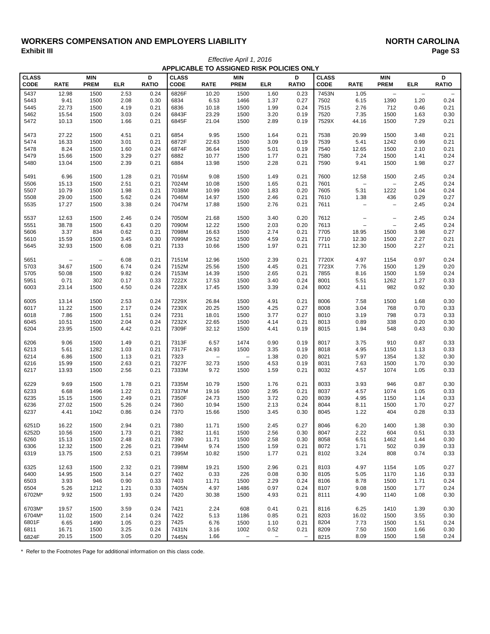#### WORKERS COMPENSATION AND EMPLOYERS LIABILITY<br>Exhibit III Page S3 **Exhibit III Page S3** *Effective April 1, 2016*

|                             |                   |                           |            |                   |                      | APPLICABLE TO ASSIGNED RISK POLICIES ONLY |                           |                          |                   |                      |                          |                           |                          |                   |
|-----------------------------|-------------------|---------------------------|------------|-------------------|----------------------|-------------------------------------------|---------------------------|--------------------------|-------------------|----------------------|--------------------------|---------------------------|--------------------------|-------------------|
| <b>CLASS</b><br><b>CODE</b> | <b>RATE</b>       | <b>MIN</b><br><b>PREM</b> | <b>ELR</b> | D<br><b>RATIO</b> | <b>CLASS</b><br>CODE | <b>RATE</b>                               | <b>MIN</b><br><b>PREM</b> | <b>ELR</b>               | D<br><b>RATIO</b> | <b>CLASS</b><br>CODE | <b>RATE</b>              | <b>MIN</b><br><b>PREM</b> | <b>ELR</b>               | D<br><b>RATIO</b> |
| 5437                        | 12.98             | 1500                      | 2.53       | 0.24              | 6826F                | 10.20                                     | 1500                      | 1.60                     | 0.23              | 7453N                | 1.05                     | $\overline{\phantom{a}}$  | $\overline{\phantom{a}}$ |                   |
| 5443                        | 9.41              | 1500                      | 2.08       | 0.30              | 6834                 | 6.53                                      | 1466                      | 1.37                     | 0.27              | 7502                 | 6.15                     | 1390                      | 1.20                     | 0.24              |
| 5445                        | 22.73             | 1500                      | 4.19       | 0.21              | 6836                 | 10.18                                     | 1500                      | 1.99                     | 0.24              | 7515                 | 2.76                     | 712                       | 0.46                     | 0.21              |
| 5462                        | 15.54             | 1500                      | 3.03       | 0.24              | 6843F                | 23.29                                     | 1500                      | 3.20                     | 0.19              | 7520                 | 7.35                     | 1500                      | 1.63                     | 0.30              |
| 5472                        | 10.13             | 1500                      | 1.66       | 0.21              | 6845F                | 21.04                                     | 1500                      | 2.89                     | 0.19              | 7529X                | 44.16                    | 1500                      | 7.29                     | 0.21              |
| 5473                        | 27.22             | 1500                      | 4.51       | 0.21              | 6854                 | 9.95                                      | 1500                      | 1.64                     | 0.21              | 7538                 | 20.99                    | 1500                      | 3.48                     | 0.21              |
| 5474                        | 16.33             | 1500                      | 3.01       | 0.21              | 6872F                | 22.63                                     | 1500                      | 3.09                     | 0.19              | 7539                 | 5.41                     | 1242                      | 0.99                     | 0.21              |
| 5478                        | 8.24              | 1500                      | 1.60       | 0.24              | 6874F                | 36.64                                     | 1500                      | 5.01                     | 0.19              | 7540                 | 12.65                    | 1500                      | 2.10                     | 0.21              |
| 5479                        | 15.66             | 1500                      | 3.29       | 0.27              | 6882                 | 10.77                                     | 1500                      | 1.77                     | 0.21              | 7580                 | 7.24                     | 1500                      | 1.41                     | 0.24              |
| 5480                        | 13.04             | 1500                      | 2.39       | 0.21              | 6884                 | 13.98                                     | 1500                      | 2.28                     | 0.21              | 7590                 | 9.41                     | 1500                      | 1.98                     | 0.27              |
| 5491                        | 6.96              | 1500                      | 1.28       | 0.21              | 7016M                | 9.08                                      | 1500                      | 1.49                     | 0.21              | 7600                 | 12.58                    | 1500                      | 2.45                     | 0.24              |
| 5506                        | 15.13             | 1500                      | 2.51       | 0.21              | 7024M                | 10.08                                     | 1500                      | 1.65                     | 0.21              | 7601                 | $\overline{\phantom{a}}$ | $\overline{\phantom{a}}$  | 2.45                     | 0.24              |
| 5507                        | 10.79             | 1500                      | 1.98       | 0.21              | 7038M                | 10.99                                     | 1500                      | 1.83                     | 0.20              | 7605                 | 5.31                     | 1222                      | 1.04                     | 0.24              |
| 5508                        | 29.00             | 1500                      | 5.62       | 0.24              | 7046M                | 14.97                                     | 1500                      | 2.46                     | 0.21              | 7610                 | 1.38                     | 436                       | 0.29                     | 0.27              |
| 5535                        | 17.27             | 1500                      | 3.38       | 0.24              | 7047M                | 17.88                                     | 1500                      | 2.76                     | 0.21              | 7611                 | $\qquad \qquad -$        | $\overline{\phantom{m}}$  | 2.45                     | 0.24              |
| 5537                        | 12.63             | 1500                      | 2.46       | 0.24              | 7050M                | 21.68                                     | 1500                      | 3.40                     | 0.20              | 7612                 | $\qquad \qquad -$        | $\overline{\phantom{a}}$  | 2.45                     | 0.24              |
| 5551                        | 38.78             | 1500                      | 6.43       | 0.20              | 7090M                | 12.22                                     | 1500                      | 2.03                     | 0.20              | 7613                 | $\qquad \qquad -$        | $\overline{\phantom{a}}$  | 2.45                     | 0.24              |
| 5606                        | 3.37              | 834                       | 0.62       | 0.21              | 7098M                | 16.63                                     | 1500                      | 2.74                     | 0.21              | 7705                 | 18.95                    | 1500                      | 3.98                     | 0.27              |
| 5610                        | 15.59             | 1500                      | 3.45       | 0.30              | 7099M                | 29.52                                     | 1500                      | 4.59                     | 0.21              | 7710                 | 12.30                    | 1500                      | 2.27                     | 0.21              |
| 5645                        | 32.93             | 1500                      | 6.08       | 0.21              | 7133                 | 10.66                                     | 1500                      | 1.97                     | 0.21              | 7711                 | 12.30                    | 1500                      | 2.27                     | 0.21              |
| 5651                        | $\qquad \qquad -$ | $\overline{\phantom{a}}$  | 6.08       | 0.21              | 7151M                | 12.96                                     | 1500                      | 2.39                     | 0.21              | 7720X                | 4.97                     | 1154                      | 0.97                     | 0.24              |
| 5703                        | 34.67             | 1500                      | 6.74       | 0.24              | 7152M                | 25.56                                     | 1500                      | 4.45                     | 0.21              | 7723X                | 7.76                     | 1500                      | 1.29                     | 0.20              |
| 5705                        | 50.08             | 1500                      | 9.82       | 0.24              | 7153M                | 14.39                                     | 1500                      | 2.65                     | 0.21              | 7855                 | 8.16                     | 1500                      | 1.59                     | 0.24              |
| 5951                        | 0.71              | 302                       | 0.17       | 0.33              | 7222X                | 17.53                                     | 1500                      | 3.40                     | 0.24              | 8001                 | 5.51                     | 1262                      | 1.27                     | 0.33              |
| 6003                        | 23.14             | 1500                      | 4.50       | 0.24              | 7228X                | 17.45                                     | 1500                      | 3.39                     | 0.24              | 8002                 | 4.11                     | 982                       | 0.92                     | 0.30              |
| 6005                        | 13.14             | 1500                      | 2.53       | 0.24              | 7229X                | 26.84                                     | 1500                      | 4.91                     | 0.21              | 8006                 | 7.58                     | 1500                      | 1.68                     | 0.30              |
| 6017                        | 11.22             | 1500                      | 2.17       | 0.24              | 7230X                | 20.25                                     | 1500                      | 4.25                     | 0.27              | 8008                 | 3.04                     | 768                       | 0.70                     | 0.33              |
| 6018                        | 7.86              | 1500                      | 1.51       | 0.24              | 7231                 | 18.01                                     | 1500                      | 3.77                     | 0.27              | 8010                 | 3.19                     | 798                       | 0.73                     | 0.33              |
| 6045                        | 10.51             | 1500                      | 2.04       | 0.24              | 7232X                | 22.65                                     | 1500                      | 4.14                     | 0.21              | 8013                 | 0.89                     | 338                       | 0.20                     | 0.30              |
| 6204                        | 23.95             | 1500                      | 4.42       | 0.21              | 7309F                | 32.12                                     | 1500                      | 4.41                     | 0.19              | 8015                 | 1.94                     | 548                       | 0.43                     | 0.30              |
| 6206                        | 9.06              | 1500                      | 1.49       | 0.21              | 7313F                | 6.57                                      | 1474                      | 0.90                     | 0.19              | 8017                 | 3.75                     | 910                       | 0.87                     | 0.33              |
| 6213                        | 5.61              | 1282                      | 1.03       | 0.21              | 7317F                | 24.93                                     | 1500                      | 3.35                     | 0.19              | 8018                 | 4.95                     | 1150                      | 1.13                     | 0.33              |
| 6214                        | 6.86              | 1500                      | 1.13       | 0.21              | 7323                 | $\qquad \qquad -$                         | $\overline{\phantom{a}}$  | 1.38                     | 0.20              | 8021                 | 5.97                     | 1354                      | 1.32                     | 0.30              |
| 6216                        | 15.99             | 1500                      | 2.63       | 0.21              | 7327F                | 32.73                                     | 1500                      | 4.53                     | 0.19              | 8031                 | 7.63                     | 1500                      | 1.70                     | 0.30              |
| 6217                        | 13.93             | 1500                      | 2.56       | 0.21              | 7333M                | 9.72                                      | 1500                      | 1.59                     | 0.21              | 8032                 | 4.57                     | 1074                      | 1.05                     | 0.33              |
| 6229                        | 9.69              | 1500                      | 1.78       | 0.21              | 7335M                | 10.79                                     | 1500                      | 1.76                     | 0.21              | 8033                 | 3.93                     | 946                       | 0.87                     | 0.30              |
| 6233                        | 6.68              | 1496                      | 1.22       | 0.21              | 7337M                | 19.16                                     | 1500                      | 2.95                     | 0.21              | 8037                 | 4.57                     | 1074                      | 1.05                     | 0.33              |
| 6235                        | 15.15             | 1500                      | 2.49       | 0.21              | 7350F                | 24.73                                     | 1500                      | 3.72                     | 0.20              | 8039                 | 4.95                     | 1150                      | 1.14                     | 0.33              |
| 6236                        | 27.02             | 1500                      | 5.26       | 0.24              | 7360                 | 10.94                                     | 1500                      | 2.13                     | 0.24              | 8044                 | 8.11                     | 1500                      | 1.70                     | 0.27              |
| 6237                        | 4.41              | 1042                      | 0.86       | 0.24              | 7370                 | 15.66                                     | 1500                      | 3.45                     | 0.30              | 8045                 | 1.22                     | 404                       | 0.28                     | 0.33              |
| 6251D                       | 16.22             | 1500                      | 2.94       | 0.21              | 7380                 | 11.71                                     | 1500                      | 2.45                     | 0.27              | 8046                 | 6.20                     | 1400                      | 1.38                     | 0.30              |
| 6252D                       | 10.56             | 1500                      | 1.73       | 0.21              | 7382                 | 11.61                                     | 1500                      | 2.56                     | 0.30              | 8047                 | 2.22                     | 604                       | 0.51                     | 0.33              |
| 6260                        | 15.13             | 1500                      | 2.48       | 0.21              | 7390                 | 11.71                                     | 1500                      | 2.58                     | 0.30              | 8058                 | 6.51                     | 1462                      | 1.44                     | 0.30              |
| 6306                        | 12.32             | 1500                      | 2.26       | 0.21              | 7394M                | 9.74                                      | 1500                      | 1.59                     | 0.21              | 8072                 | 1.71                     | 502                       | 0.39                     | 0.33              |
| 6319                        | 13.75             | 1500                      | 2.53       | 0.21              | 7395M                | 10.82                                     | 1500                      | 1.77                     | 0.21              | 8102                 | 3.24                     | 808                       | 0.74                     | 0.33              |
| 6325                        | 12.63             | 1500                      | 2.32       | 0.21              | 7398M                | 19.21                                     | 1500                      | 2.96                     | 0.21              | 8103                 | 4.97                     | 1154                      | 1.05                     | 0.27              |
| 6400                        | 14.95             | 1500                      | 3.14       | 0.27              | 7402                 | 0.33                                      | 226                       | 0.08                     | 0.30              | 8105                 | 5.05                     | 1170                      | 1.16                     | 0.33              |
| 6503                        | 3.93              | 946                       | 0.90       | 0.33              | 7403                 | 11.71                                     | 1500                      | 2.29                     | 0.24              | 8106                 | 8.78                     | 1500                      | 1.71                     | 0.24              |
| 6504                        | 5.26              | 1212                      | 1.21       | 0.33              | 7405N                | 4.97                                      | 1486                      | 0.97                     | 0.24              | 8107                 | 9.08                     | 1500                      | 1.77                     | 0.24              |
| 6702M*                      | 9.92              | 1500                      | 1.93       | 0.24              | 7420                 | 30.38                                     | 1500                      | 4.93                     | 0.21              | 8111                 | 4.90                     | 1140                      | 1.08                     | 0.30              |
| 6703M*                      | 19.57             | 1500                      | 3.59       | 0.24              | 7421                 | 2.24                                      | 608                       | 0.41                     | 0.21              | 8116                 | 6.25                     | 1410                      | 1.39                     | 0.30              |
| 6704M*                      | 11.02             | 1500                      | 2.14       | 0.24              | 7422                 | 5.13                                      | 1186                      | 0.85                     | 0.21              | 8203                 | 16.02                    | 1500                      | 3.55                     | 0.30              |
| 6801F                       | 6.65              | 1490                      | 1.05       | 0.23              | 7425                 | 6.76                                      | 1500                      | 1.10                     | 0.21              | 8204                 | 7.73                     | 1500                      | 1.51                     | 0.24              |
| 6811                        | 16.71             | 1500                      | 3.25       | 0.24              | 7431N                | 3.16                                      | 1002                      | 0.52                     | 0.21              | 8209                 | 7.50                     | 1500                      | 1.66                     | 0.30              |
| 6824F                       | 20.15             | 1500                      | 3.05       | 0.20              | 7445N                | 1.66                                      | $\overline{\phantom{a}}$  | $\overline{\phantom{a}}$ | $\qquad \qquad -$ | 8215                 | 8.09                     | 1500                      | 1.58                     | 0.24              |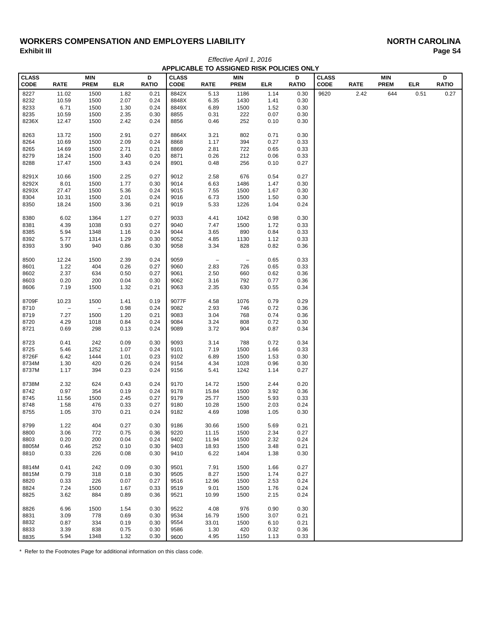#### WORKERS COMPENSATION AND EMPLOYERS LIABILITY<br>Exhibit III Page S4 **Exhibit III Page S4**

|                 |                          |                   |              |              |              |                          | APPLICABLE TO ASSIGNED RISK POLICIES ONLY |              |              |              |      |             |      |              |
|-----------------|--------------------------|-------------------|--------------|--------------|--------------|--------------------------|-------------------------------------------|--------------|--------------|--------------|------|-------------|------|--------------|
| <b>CLASS</b>    |                          | <b>MIN</b>        |              | D            | <b>CLASS</b> |                          | <b>MIN</b>                                |              | D            | <b>CLASS</b> |      | <b>MIN</b>  |      | D            |
| $\mathsf{CODE}$ | <b>RATE</b>              | <b>PREM</b>       | <b>ELR</b>   | <b>RATIO</b> | <b>CODE</b>  | <b>RATE</b>              | <b>PREM</b>                               | <b>ELR</b>   | <b>RATIO</b> | <b>CODE</b>  | RATE | <b>PREM</b> | ELR  | <b>RATIO</b> |
| 8227            | 11.02                    | 1500              | 1.82         | 0.21         | 8842X        | 5.13                     | 1186                                      | 1.14         | 0.30         | 9620         | 2.42 | 644         | 0.51 | 0.27         |
| 8232            | 10.59                    | 1500              | 2.07         | 0.24         | 8848X        | 6.35                     | 1430                                      | 1.41         | 0.30         |              |      |             |      |              |
| 8233            | 6.71                     | 1500              | 1.30         | 0.24         | 8849X        | 6.89                     | 1500                                      | 1.52         | 0.30         |              |      |             |      |              |
| 8235            | 10.59                    | 1500              | 2.35         | 0.30         | 8855         | 0.31                     | 222                                       | 0.07         | 0.30         |              |      |             |      |              |
| 8236X           | 12.47                    | 1500              | 2.42         | 0.24         | 8856         | 0.46                     | 252                                       | 0.10         | 0.30         |              |      |             |      |              |
| 8263            | 13.72                    | 1500              | 2.91         | 0.27         | 8864X        | 3.21                     | 802                                       | 0.71         | 0.30         |              |      |             |      |              |
| 8264            | 10.69                    | 1500              | 2.09         | 0.24         | 8868         | 1.17                     | 394                                       | 0.27         | 0.33         |              |      |             |      |              |
| 8265            | 14.69                    | 1500              | 2.71         | 0.21         | 8869         | 2.81                     | 722                                       | 0.65         | 0.33         |              |      |             |      |              |
| 8279            | 18.24                    | 1500              | 3.40         | 0.20         | 8871         | 0.26                     | 212                                       | 0.06         | 0.33         |              |      |             |      |              |
| 8288            | 17.47                    | 1500              | 3.43         | 0.24         | 8901         | 0.48                     | 256                                       | 0.10         | 0.27         |              |      |             |      |              |
| 8291X           | 10.66                    | 1500              | 2.25         | 0.27         | 9012         | 2.58                     | 676                                       | 0.54         | 0.27         |              |      |             |      |              |
| 8292X           | 8.01                     | 1500              | 1.77         | 0.30         | 9014         | 6.63                     | 1486                                      | 1.47         | 0.30         |              |      |             |      |              |
| 8293X           | 27.47                    | 1500              | 5.36         | 0.24         | 9015         | 7.55                     | 1500                                      | 1.67         | 0.30         |              |      |             |      |              |
| 8304            | 10.31                    | 1500              | 2.01         | 0.24         | 9016         | 6.73                     | 1500                                      | 1.50         | 0.30         |              |      |             |      |              |
| 8350            | 18.24                    | 1500              | 3.36         | 0.21         | 9019         | 5.33                     | 1226                                      | 1.04         | 0.24         |              |      |             |      |              |
| 8380            | 6.02                     | 1364              | 1.27         | 0.27         | 9033         | 4.41                     | 1042                                      | 0.98         | 0.30         |              |      |             |      |              |
| 8381            | 4.39                     | 1038              | 0.93         | 0.27         | 9040         | 7.47                     | 1500                                      | 1.72         | 0.33         |              |      |             |      |              |
| 8385            | 5.94                     | 1348              | 1.16         | 0.24         | 9044         | 3.65                     | 890                                       | 0.84         | 0.33         |              |      |             |      |              |
| 8392            | 5.77                     | 1314              | 1.29         | 0.30         | 9052         | 4.85                     | 1130                                      | 1.12         | 0.33         |              |      |             |      |              |
| 8393            | 3.90                     | 940               | 0.86         | 0.30         | 9058         | 3.34                     | 828                                       | 0.82         | 0.36         |              |      |             |      |              |
|                 |                          |                   |              |              |              |                          |                                           |              |              |              |      |             |      |              |
| 8500            | 12.24                    | 1500              | 2.39         | 0.24         | 9059         | $\overline{\phantom{m}}$ | $\overline{\phantom{a}}$                  | 0.65         | 0.33         |              |      |             |      |              |
| 8601            | 1.22<br>2.37             | 404               | 0.26         | 0.27         | 9060         | 2.83                     | 726                                       | 0.65         | 0.33         |              |      |             |      |              |
| 8602<br>8603    |                          | 634<br>200        | 0.50<br>0.04 | 0.27<br>0.30 | 9061<br>9062 | 2.50<br>3.16             | 660<br>792                                | 0.62<br>0.77 | 0.36<br>0.36 |              |      |             |      |              |
| 8606            | 0.20<br>7.19             | 1500              | 1.32         | 0.21         | 9063         | 2.35                     | 630                                       | 0.55         | 0.34         |              |      |             |      |              |
|                 |                          |                   |              |              |              |                          |                                           |              |              |              |      |             |      |              |
| 8709F           | 10.23                    | 1500              | 1.41         | 0.19         | 9077F        | 4.58                     | 1076                                      | 0.79         | 0.29         |              |      |             |      |              |
| 8710            | $\overline{\phantom{m}}$ | $\qquad \qquad -$ | 0.98         | 0.24         | 9082         | 2.93                     | 746                                       | 0.72         | 0.36         |              |      |             |      |              |
| 8719            | 7.27                     | 1500              | 1.20         | 0.21         | 9083         | 3.04                     | 768                                       | 0.74         | 0.36         |              |      |             |      |              |
| 8720            | 4.29                     | 1018              | 0.84         | 0.24         | 9084         | 3.24                     | 808                                       | 0.72         | 0.30         |              |      |             |      |              |
| 8721            | 0.69                     | 298               | 0.13         | 0.24         | 9089         | 3.72                     | 904                                       | 0.87         | 0.34         |              |      |             |      |              |
| 8723            | 0.41                     | 242               | 0.09         | 0.30         | 9093         | 3.14                     | 788                                       | 0.72         | 0.34         |              |      |             |      |              |
| 8725            | 5.46                     | 1252              | 1.07         | 0.24         | 9101         | 7.19                     | 1500                                      | 1.66         | 0.33         |              |      |             |      |              |
| 8726F           | 6.42                     | 1444              | 1.01         | 0.23         | 9102         | 6.89                     | 1500                                      | 1.53         | 0.30         |              |      |             |      |              |
| 8734M           | 1.30                     | 420               | 0.26         | 0.24         | 9154         | 4.34                     | 1028                                      | 0.96         | 0.30         |              |      |             |      |              |
| 8737M           | 1.17                     | 394               | 0.23         | 0.24         | 9156         | 5.41                     | 1242                                      | 1.14         | 0.27         |              |      |             |      |              |
| 8738M           | 2.32                     | 624               | 0.43         | 0.24         | 9170         | 14.72                    | 1500                                      | 2.44         | 0.20         |              |      |             |      |              |
| 8742            | 0.97                     | 354               | 0.19         | 0.24         | 9178         | 15.84                    | 1500                                      | 3.92         | 0.36         |              |      |             |      |              |
| 8745            | 11.56                    | 1500              | 2.45         | 0.27         | 9179         | 25.77                    | 1500                                      | 5.93         | 0.33         |              |      |             |      |              |
| 8748            | 1.58                     | 476               | 0.33         | 0.27         | 9180         | 10.28                    | 1500                                      | 2.03         | 0.24         |              |      |             |      |              |
| 8755            | 1.05                     | 370               | 0.21         | 0.24         | 9182         | 4.69                     | 1098                                      | 1.05         | 0.30         |              |      |             |      |              |
| 8799            | 1.22                     | 404               | 0.27         | $0.30\,$     | 9186         | 30.66                    | 1500                                      | 5.69         | 0.21         |              |      |             |      |              |
| 8800            | 3.06                     | 772               | 0.75         | 0.36         | 9220         | 11.15                    | 1500                                      | 2.34         | 0.27         |              |      |             |      |              |
| 8803            | 0.20                     | 200               | 0.04         | 0.24         | 9402         | 11.94                    | 1500                                      | 2.32         | 0.24         |              |      |             |      |              |
| 8805M           | 0.46                     | 252               | 0.10         | 0.30         | 9403         | 18.93                    | 1500                                      | 3.48         | 0.21         |              |      |             |      |              |
| 8810            | 0.33                     | 226               | 0.08         | 0.30         | 9410         | 6.22                     | 1404                                      | 1.38         | 0.30         |              |      |             |      |              |
| 8814M           | 0.41                     | 242               | 0.09         | 0.30         | 9501         | 7.91                     | 1500                                      | 1.66         | 0.27         |              |      |             |      |              |
| 8815M           | 0.79                     | 318               | 0.18         | 0.30         | 9505         | 8.27                     | 1500                                      | 1.74         | 0.27         |              |      |             |      |              |
| 8820            | 0.33                     | 226               | 0.07         | 0.27         | 9516         | 12.96                    | 1500                                      | 2.53         | 0.24         |              |      |             |      |              |
| 8824            | 7.24                     | 1500              | 1.67         | 0.33         | 9519         | 9.01                     | 1500                                      | 1.76         | 0.24         |              |      |             |      |              |
| 8825            | 3.62                     | 884               | 0.89         | 0.36         | 9521         | 10.99                    | 1500                                      | 2.15         | 0.24         |              |      |             |      |              |
| 8826            | 6.96                     | 1500              | 1.54         | 0.30         | 9522         | 4.08                     | 976                                       | 0.90         | 0.30         |              |      |             |      |              |
| 8831            | 3.09                     | 778               | 0.69         | 0.30         | 9534         | 16.79                    | 1500                                      | 3.07         | 0.21         |              |      |             |      |              |
| 8832            | 0.87                     | 334               | 0.19         | 0.30         | 9554         | 33.01                    | 1500                                      | 6.10         | 0.21         |              |      |             |      |              |
| 8833            | 3.39                     | 838               | 0.75         | 0.30         | 9586         | 1.30                     | 420                                       | 0.32         | 0.36         |              |      |             |      |              |
| 8835            | 5.94                     | 1348              | 1.32         | 0.30         | 9600         | 4.95                     | 1150                                      | 1.13         | 0.33         |              |      |             |      |              |

*Effective April 1, 2016*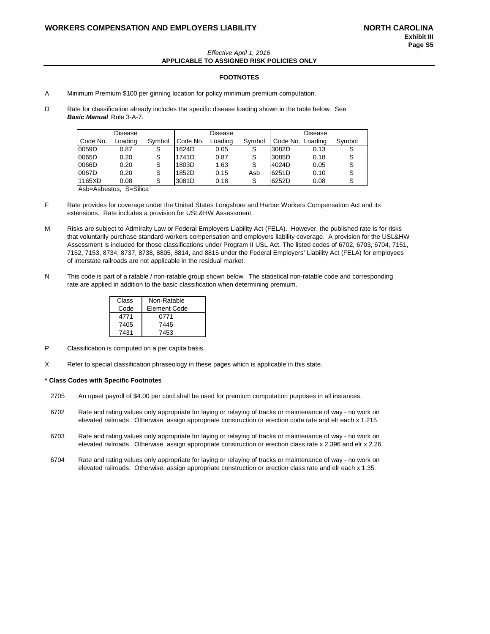#### *Effective April 1, 2016* **APPLICABLE TO ASSIGNED RISK POLICIES ONLY**

#### **FOOTNOTES**

- A Minimum Premium \$100 per ginning location for policy minimum premium computation.
- D Rate for classification already includes the specific disease loading shown in the table below. See *Basic Manual* Rule 3-A-7.

|          | Disease |        |          | Disease |        |          | Disease |        |
|----------|---------|--------|----------|---------|--------|----------|---------|--------|
| Code No. | Loading | Symbol | Code No. | Loading | Symbol | Code No. | Loading | Symbol |
| 0059D    | 0.87    | S      | 1624D    | 0.05    | S      | 3082D    | 0.13    | S      |
| 0065D    | 0.20    | S      | 1741D    | 0.87    | S      | 3085D    | 0.18    | S      |
| 0066D    | 0.20    | S      | 1803D    | 1.63    | S      | 4024D    | 0.05    | S      |
| 0067D    | 0.20    | S      | 1852D    | 0.15    | Asb    | 6251D    | 0.10    | S      |
| 1165XD   | 0.08    | S      | 3081D    | 0.18    |        | 6252D    | 0.08    | S      |
|          |         |        |          |         |        |          |         |        |

Asb=Asbestos, S=Silica

- F Rate provides for coverage under the United States Longshore and Harbor Workers Compensation Act and its extensions. Rate includes a provision for USL&HW Assessment.
- M Risks are subject to Admiralty Law or Federal Employers Liability Act (FELA). However, the published rate is for risks that voluntarily purchase standard workers compensation and employers liability coverage. A provision for the USL&HW Assessment is included for those classifications under Program II USL Act. The listed codes of 6702, 6703, 6704, 7151, 7152, 7153, 8734, 8737, 8738, 8805, 8814, and 8815 under the Federal Employers' Liability Act (FELA) for employees of interstate railroads are not applicable in the residual market.
- N This code is part of a ratable / non-ratable group shown below. The statistical non-ratable code and corresponding rate are applied in addition to the basic classification when determining premium.

| Class | Non-Ratable  |
|-------|--------------|
| Code  | Element Code |
| 4771  | 0771         |
| 7405  | 7445         |
| 7431  | 7453         |

- P Classification is computed on a per capita basis.
- X Refer to special classification phraseology in these pages which is applicable in this state.

#### **\* Class Codes with Specific Footnotes**

- 2705 An upset payroll of \$4.00 per cord shall be used for premium computation purposes in all instances.
- 6702 Rate and rating values only appropriate for laying or relaying of tracks or maintenance of way no work on elevated railroads. Otherwise, assign appropriate construction or erection code rate and elr each x 1.215.
- 6703 Rate and rating values only appropriate for laying or relaying of tracks or maintenance of way no work on elevated railroads. Otherwise, assign appropriate construction or erection class rate x 2.396 and elr x 2.26.
- 6704 Rate and rating values only appropriate for laying or relaying of tracks or maintenance of way no work on elevated railroads. Otherwise, assign appropriate construction or erection class rate and elr each x 1.35.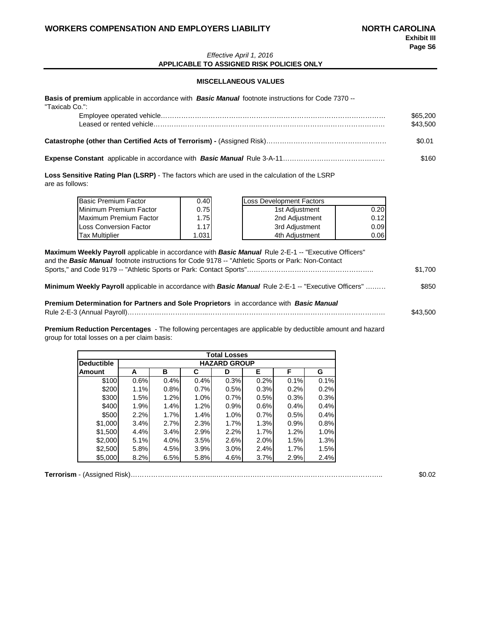#### **APPLICABLE TO ASSIGNED RISK POLICIES ONLY** *Effective April 1, 2016*

#### **MISCELLANEOUS VALUES**

**Basis of premium** applicable in accordance with *Basic Manual* footnote instructions for Code 7370 --

| "Taxicab Co.": " | \$65,200<br>\$43,500 |
|------------------|----------------------|
|                  | \$0.01               |
|                  | \$160                |

**Loss Sensitive Rating Plan (LSRP)** - The factors which are used in the calculation of the LSRP are as follows:

| <b>Basic Premium Factor</b> | 0.40  | Loss Development Factors |
|-----------------------------|-------|--------------------------|
| Minimum Premium Factor      | 0.75  | 0.20<br>1st Adjustment   |
| Maximum Premium Factor      | 1.75  | 0.12<br>2nd Adjustment   |
| Loss Conversion Factor      | 1.17  | 0.09<br>3rd Adjustment   |
| <b>Tax Multiplier</b>       | 1.031 | 0.06<br>4th Adiustment   |

| Maximum Weekly Payroll applicable in accordance with Basic Manual Rule 2-E-1 -- "Executive Officers"               |          |
|--------------------------------------------------------------------------------------------------------------------|----------|
| and the <b>Basic Manual</b> footnote instructions for Code 9178 -- "Athletic Sports or Park: Non-Contact           |          |
|                                                                                                                    | \$1.700  |
| <b>Minimum Weekly Payroll</b> applicable in accordance with <b>Basic Manual</b> Rule 2-E-1 -- "Executive Officers" | \$850    |
| <b>Premium Determination for Partners and Sole Proprietors</b> in accordance with <b>Basic Manual</b>              |          |
|                                                                                                                    | \$43,500 |

**Premium Reduction Percentages** - The following percentages are applicable by deductible amount and hazard group for total losses on a per claim basis:

|                   |      | <b>Total Losses</b> |      |      |      |      |      |  |  |  |  |  |  |
|-------------------|------|---------------------|------|------|------|------|------|--|--|--|--|--|--|
| <b>Deductible</b> |      | <b>HAZARD GROUP</b> |      |      |      |      |      |  |  |  |  |  |  |
| Amount            | А    | в                   | С    | D    | Е    | F    | G    |  |  |  |  |  |  |
| \$100             | 0.6% | 0.4%                | 0.4% | 0.3% | 0.2% | 0.1% | 0.1% |  |  |  |  |  |  |
| \$200             | 1.1% | 0.8%                | 0.7% | 0.5% | 0.3% | 0.2% | 0.2% |  |  |  |  |  |  |
| \$300             | 1.5% | 1.2%                | 1.0% | 0.7% | 0.5% | 0.3% | 0.3% |  |  |  |  |  |  |
| \$400             | 1.9% | 1.4%                | 1.2% | 0.9% | 0.6% | 0.4% | 0.4% |  |  |  |  |  |  |
| \$500             | 2.2% | 1.7%                | 1.4% | 1.0% | 0.7% | 0.5% | 0.4% |  |  |  |  |  |  |
| \$1,000           | 3.4% | 2.7%                | 2.3% | 1.7% | 1.3% | 0.9% | 0.8% |  |  |  |  |  |  |
| \$1,500           | 4.4% | 3.4%                | 2.9% | 2.2% | 1.7% | 1.2% | 1.0% |  |  |  |  |  |  |
| \$2,000           | 5.1% | 4.0%                | 3.5% | 2.6% | 2.0% | 1.5% | 1.3% |  |  |  |  |  |  |
| \$2,500           | 5.8% | 4.5%                | 3.9% | 3.0% | 2.4% | 1.7% | 1.5% |  |  |  |  |  |  |
| \$5,000           | 8.2% | 6.5%                | 5.8% | 4.6% | 3.7% | 2.9% | 2.4% |  |  |  |  |  |  |

|  | \$0.02 |
|--|--------|
|--|--------|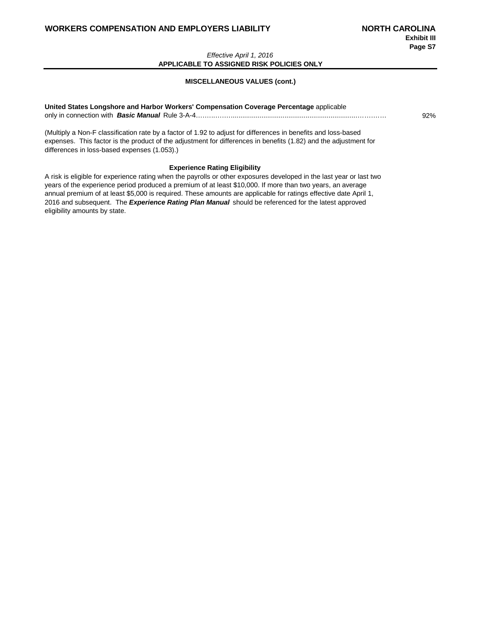#### **APPLICABLE TO ASSIGNED RISK POLICIES ONLY** *Effective April 1, 2016*

#### **MISCELLANEOUS VALUES (cont.)**

# **United States Longshore and Harbor Workers' Compensation Coverage Percentage** applicable only in connection with *Basic Manual* Rule 3-A-4….…..….…..................................................................…….…… 92% (Multiply a Non-F classification rate by a factor of 1.92 to adjust for differences in benefits and loss-based expenses. This factor is the product of the adjustment for differences in benefits (1.82) and the adjustment for differences in loss-based expenses (1.053).)

#### **Experience Rating Eligibility**

A risk is eligible for experience rating when the payrolls or other exposures developed in the last year or last two years of the experience period produced a premium of at least \$10,000. If more than two years, an average annual premium of at least \$5,000 is required. These amounts are applicable for ratings effective date April 1, 2016 and subsequent. The *Experience Rating Plan Manual* should be referenced for the latest approved eligibility amounts by state.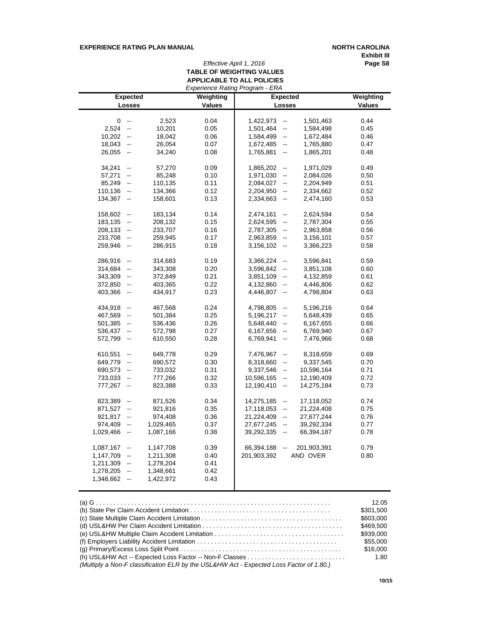#### **EXPERIENCE RATING PLAN MANUAL <b>NORTH CAROLINA**

**Exhibit III**

### *Effective April 1, 2016* **Page S8 TABLE OF WEIGHTING VALUES APPLICABLE TO ALL POLICIES**

|                                       |           |               | Experience Rating Program - ERA        |             |               |
|---------------------------------------|-----------|---------------|----------------------------------------|-------------|---------------|
| <b>Expected</b>                       |           | Weighting     | <b>Expected</b>                        |             | Weighting     |
| Losses                                |           | <b>Values</b> | Losses                                 |             | <b>Values</b> |
|                                       |           |               |                                        |             |               |
| 0<br>$\sim$                           | 2,523     | 0.04          | 1,422,973<br>$\overline{\phantom{a}}$  | 1,501,463   | 0.44          |
| 2,524<br>$\overline{\phantom{a}}$     | 10,201    | 0.05          | 1,501,464<br>--                        | 1,584,498   | 0.45          |
| 10,202<br>$\overline{\phantom{a}}$    | 18,042    | 0.06          | 1,584,499<br>$\overline{\phantom{a}}$  | 1,672,484   | 0.46          |
| 18,043<br>$\overline{\phantom{a}}$    | 26,054    | 0.07          | 1,672,485<br>$\overline{\phantom{a}}$  | 1,765,880   | 0.47          |
| 26,055<br>$\overline{\phantom{a}}$    | 34,240    | 0.08          | 1,765,881<br>$\overline{\phantom{a}}$  | 1,865,201   | 0.48          |
| 34,241<br>$\overline{\phantom{a}}$    | 57,270    | 0.09          | 1,865,202<br>$\overline{\phantom{a}}$  | 1,971,029   | 0.49          |
| 57,271<br>--                          | 85,248    | 0.10          | 1,971,030<br>$\overline{\phantom{a}}$  | 2,084,026   | 0.50          |
| 85,249<br>--                          | 110,135   | 0.11          | 2,084,027<br>--                        | 2,204,949   | 0.51          |
| 110,136<br>$\overline{\phantom{a}}$   | 134,366   | 0.12          | 2,204,950<br>$\overline{\phantom{a}}$  | 2,334,662   | 0.52          |
| 134,367<br>$\qquad \qquad -$          | 158,601   | 0.13          | 2,334,663<br>$\overline{\phantom{a}}$  | 2,474,160   | 0.53          |
| 158,602<br>$\ddot{\phantom{a}}$       | 183,134   | 0.14          | 2,474,161<br>$\overline{\phantom{a}}$  | 2,624,594   | 0.54          |
| 183,135<br>$\overline{\phantom{a}}$   | 208,132   | 0.15          | 2,624,595<br>$\overline{\phantom{a}}$  | 2,787,304   | 0.55          |
| 208,133<br>$\overline{\phantom{a}}$   | 233,707   | 0.16          | 2,787,305<br>$\overline{\phantom{a}}$  | 2,963,858   | 0.56          |
| 233,708<br>۰.                         | 259,945   | 0.17          | 2,963,859<br>$\overline{\phantom{a}}$  | 3,156,101   | 0.57          |
| 259,946<br>$\overline{\phantom{a}}$   | 286,915   | 0.18          | 3,156,102<br>$\overline{\phantom{a}}$  | 3,366,223   | 0.58          |
| 286,916<br>$\overline{\phantom{a}}$   | 314,683   | 0.19          | 3,366,224<br>$\overline{\phantom{a}}$  | 3,596,841   | 0.59          |
| 314,684<br>$\overline{\phantom{a}}$   | 343,308   | 0.20          | 3,596,842<br>$\overline{\phantom{a}}$  | 3,851,108   | 0.60          |
| 343,309<br>$\overline{\phantom{a}}$   | 372,849   | 0.21          | 3,851,109<br>$\overline{\phantom{a}}$  | 4,132,859   | 0.61          |
| 372,850<br>$\overline{\phantom{a}}$   | 403,365   | 0.22          | 4,132,860<br>$\overline{\phantom{a}}$  | 4,446,806   | 0.62          |
| 403,366<br>$\overline{\phantom{a}}$   | 434,917   | 0.23          | 4,446,807<br>$\overline{\phantom{a}}$  | 4,798,804   | 0.63          |
| 434,918<br>$\overline{\phantom{a}}$   | 467,568   | 0.24          | 4,798,805<br>$\overline{\phantom{a}}$  | 5,196,216   | 0.64          |
| 467,569<br>$\overline{\phantom{a}}$   | 501,384   | 0.25          | 5,196,217<br>$\overline{\phantom{a}}$  | 5,648,439   | 0.65          |
| 501,385<br>$\overline{\phantom{a}}$   | 536,436   | 0.26          | 5,648,440<br>$\overline{\phantom{a}}$  | 6,167,655   | 0.66          |
| 536,437<br>--                         | 572,798   | 0.27          | 6,167,656<br>$\overline{\phantom{a}}$  | 6,769,940   | 0.67          |
| 572,799<br>$\overline{\phantom{a}}$   | 610,550   | 0.28          | 6,769,941<br>$\overline{\phantom{a}}$  | 7,476,966   | 0.68          |
| 610,551<br>--                         | 649,778   | 0.29          | 7,476,967<br>$\overline{\phantom{a}}$  | 8,318,659   | 0.69          |
| 649,779<br>$\overline{\phantom{a}}$   | 690,572   | 0.30          | 8,318,660<br>$\overline{\phantom{a}}$  | 9,337,545   | 0.70          |
| 690,573<br>$\overline{\phantom{a}}$   | 733,032   | 0.31          | 9,337,546<br>$\overline{\phantom{a}}$  | 10,596,164  | 0.71          |
| 733,033<br>--                         | 777,266   | 0.32          | 10,596,165<br>$\overline{\phantom{a}}$ | 12,190,409  | 0.72          |
| 777,267<br>$\overline{\phantom{a}}$   | 823,388   | 0.33          | 12,190,410<br>$\overline{\phantom{a}}$ | 14,275,184  | 0.73          |
| 823,389<br>$\overline{\phantom{a}}$   | 871,526   | 0.34          | 14,275,185<br>$\overline{\phantom{a}}$ | 17,118,052  | 0.74          |
| 871,527<br>$\overline{\phantom{a}}$   | 921,816   | 0.35          | 17,118,053<br>$\overline{\phantom{a}}$ | 21,224,408  | 0.75          |
| 921,817<br>$\overline{\phantom{a}}$   | 974,408   | 0.36          | 21,224,409<br>$\overline{\phantom{a}}$ | 27,677,244  | 0.76          |
| 974,409<br>$\overline{\phantom{a}}$   | 1,029,465 | 0.37          | 27,677,245<br>$\overline{\phantom{a}}$ | 39,292,334  | 0.77          |
| 1,029,466<br>$\overline{\phantom{a}}$ | 1,087,166 | 0.38          | 39,292,335<br>$\overline{\phantom{a}}$ | 66,394,187  | 0.78          |
| 1,087,167<br>$\qquad \qquad -$        | 1,147,708 | 0.39          | 66,394,188                             | 201,903,391 | 0.79          |
| 1,147,709<br>$\overline{\phantom{a}}$ | 1,211,308 | 0.40          | 201,903,392                            | AND OVER    | 0.80          |
| 1,211,309<br>$\overline{\phantom{a}}$ | 1,278,204 | 0.41          |                                        |             |               |
| 1,278,205<br>$\overline{\phantom{a}}$ | 1,348,661 | 0.42          |                                        |             |               |
|                                       |           |               |                                        |             |               |
| 1,348,662<br>$\overline{\phantom{a}}$ | 1,422,972 | 0.43          |                                        |             |               |

|                                                                                         | 12.05     |
|-----------------------------------------------------------------------------------------|-----------|
|                                                                                         | \$301.500 |
|                                                                                         | \$603,000 |
|                                                                                         | \$469,500 |
|                                                                                         | \$939,000 |
|                                                                                         | \$55,000  |
|                                                                                         | \$16,000  |
|                                                                                         | 1.80      |
| (Multiply a Non-F classification ELR by the USL&HW Act - Expected Loss Factor of 1.80.) |           |
|                                                                                         |           |